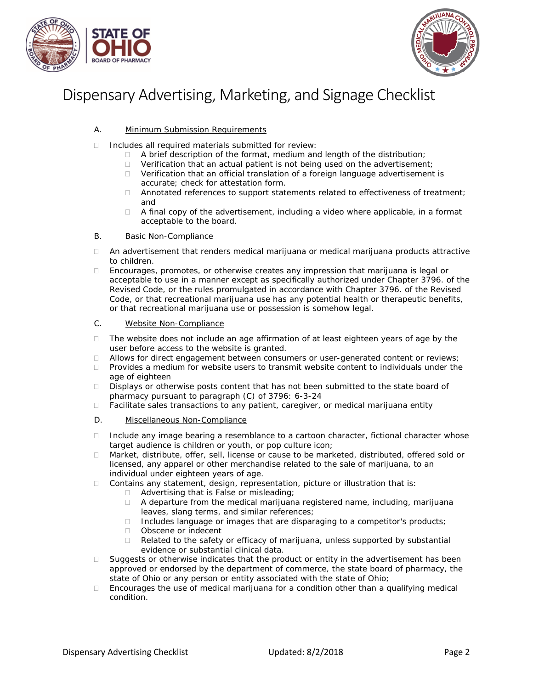



## Dispensary Advertising, Marketing, and Signage Checklist

- A. Minimum Submission Requirements
- $\Box$  Includes all required materials submitted for review:
	- $\Box$  A brief description of the format, medium and length of the distribution;
	- $\Box$  Verification that an actual patient is not being used on the advertisement;
	- □ Verification that an official translation of a foreign language advertisement is accurate; check for attestation form.
	- Annotated references to support statements related to effectiveness of treatment; and
	- $\Box$  A final copy of the advertisement, including a video where applicable, in a format acceptable to the board.

## B. Basic Non-Compliance

- An advertisement that renders medical marijuana or medical marijuana products attractive to children.
- $\Box$  Encourages, promotes, or otherwise creates any impression that marijuana is legal or acceptable to use in a manner except as specifically authorized under Chapter 3796. of the Revised Code, or the rules promulgated in accordance with Chapter 3796. of the Revised Code, or that recreational marijuana use has any potential health or therapeutic benefits, or that recreational marijuana use or possession is somehow legal.

## C. Website Non-Compliance

- □ The website does not include an age affirmation of at least eighteen years of age by the user before access to the website is granted.
- $\Box$  Allows for direct engagement between consumers or user-generated content or reviews;<br> $\Box$  Provides a medium for website users to transmit website content to individuals under the
- Provides a medium for website users to transmit website content to individuals under the age of eighteen
- Displays or otherwise posts content that has not been submitted to the state board of pharmacy pursuant to paragraph (C) of 3796: 6-3-24
- $\Box$  Facilitate sales transactions to any patient, caregiver, or medical marijuana entity
- D. Miscellaneous Non-Compliance
- □ Include any image bearing a resemblance to a cartoon character, fictional character whose target audience is children or youth, or pop culture icon;
- □ Market, distribute, offer, sell, license or cause to be marketed, distributed, offered sold or licensed, any apparel or other merchandise related to the sale of marijuana, to an individual under eighteen years of age.
- □ Contains any statement, design, representation, picture or illustration that is:
	- □ Advertising that is False or misleading;
	- A departure from the medical marijuana registered name, including, marijuana leaves, slang terms, and similar references;
	- $\Box$  Includes language or images that are disparaging to a competitor's products;
	- D Obscene or indecent
	- $\Box$  Related to the safety or efficacy of marijuana, unless supported by substantial evidence or substantial clinical data.
- $\square$  Suggests or otherwise indicates that the product or entity in the advertisement has been approved or endorsed by the department of commerce, the state board of pharmacy, the state of Ohio or any person or entity associated with the state of Ohio;
- $\Box$  Encourages the use of medical marijuana for a condition other than a qualifying medical condition.